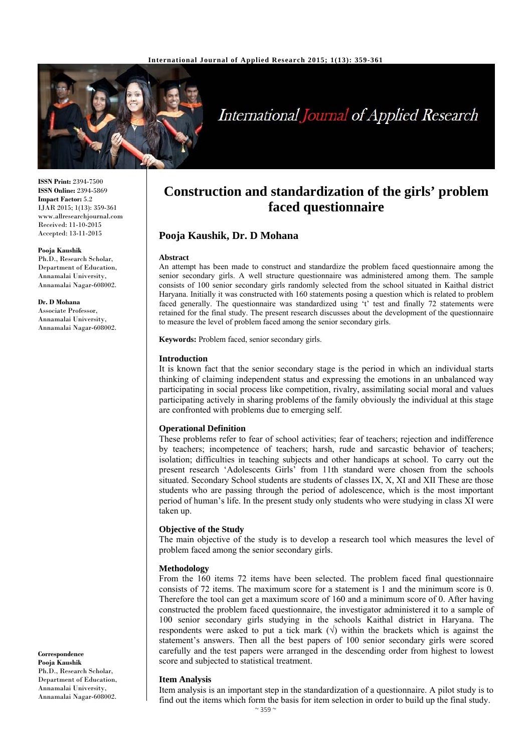

# International Journal of Applied Research

**ISSN Print:** 2394-7500 **ISSN Online:** 2394-5869 **Impact Factor:** 5.2 IJAR 2015; 1(13): 359-361 www.allresearchjournal.com Received: 11-10-2015 Accepted: 13-11-2015

**Pooja Kaushik** Ph.D., Research Scholar, Department of Education, Annamalai University, Annamalai Nagar-608002.

**Dr. D Mohana** Associate Professor, Annamalai University, Annamalai Nagar-608002.

**Correspondence Pooja Kaushik** Ph.D., Research Scholar, Department of Education, Annamalai University, Annamalai Nagar-608002.

# **Construction and standardization of the girls' problem faced questionnaire**

# **Pooja Kaushik, Dr. D Mohana**

#### **Abstract**

An attempt has been made to construct and standardize the problem faced questionnaire among the senior secondary girls. A well structure questionnaire was administered among them. The sample consists of 100 senior secondary girls randomly selected from the school situated in Kaithal district Haryana. Initially it was constructed with 160 statements posing a question which is related to problem faced generally. The questionnaire was standardized using 't' test and finally 72 statements were retained for the final study. The present research discusses about the development of the questionnaire to measure the level of problem faced among the senior secondary girls.

**Keywords:** Problem faced, senior secondary girls.

#### **Introduction**

It is known fact that the senior secondary stage is the period in which an individual starts thinking of claiming independent status and expressing the emotions in an unbalanced way participating in social process like competition, rivalry, assimilating social moral and values participating actively in sharing problems of the family obviously the individual at this stage are confronted with problems due to emerging self.

#### **Operational Definition**

These problems refer to fear of school activities; fear of teachers; rejection and indifference by teachers; incompetence of teachers; harsh, rude and sarcastic behavior of teachers; isolation; difficulties in teaching subjects and other handicaps at school. To carry out the present research 'Adolescents Girls' from 11th standard were chosen from the schools situated. Secondary School students are students of classes IX, X, XI and XII These are those students who are passing through the period of adolescence, which is the most important period of human's life. In the present study only students who were studying in class XI were taken up.

#### **Objective of the Study**

The main objective of the study is to develop a research tool which measures the level of problem faced among the senior secondary girls.

#### **Methodology**

From the 160 items 72 items have been selected. The problem faced final questionnaire consists of 72 items. The maximum score for a statement is 1 and the minimum score is 0. Therefore the tool can get a maximum score of 160 and a minimum score of 0. After having constructed the problem faced questionnaire, the investigator administered it to a sample of 100 senior secondary girls studying in the schools Kaithal district in Haryana. The respondents were asked to put a tick mark  $(\sqrt{})$  within the brackets which is against the statement's answers. Then all the best papers of 100 senior secondary girls were scored carefully and the test papers were arranged in the descending order from highest to lowest score and subjected to statistical treatment.

#### **Item Analysis**

Item analysis is an important step in the standardization of a questionnaire. A pilot study is to find out the items which form the basis for item selection in order to build up the final study.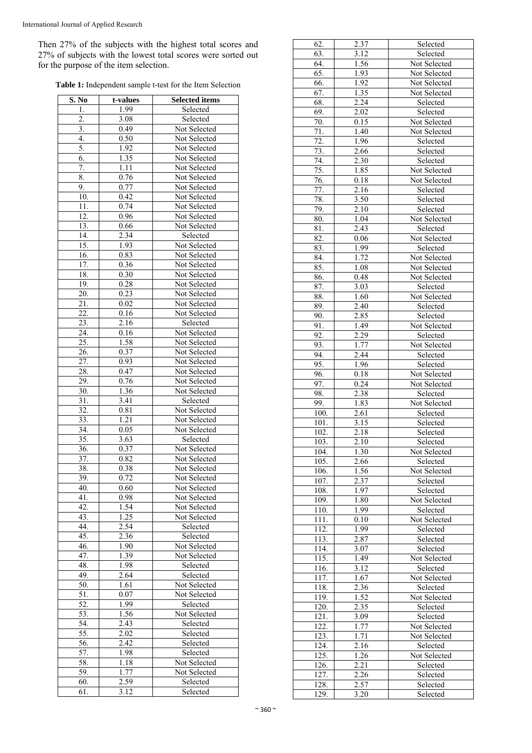Then 27% of the subjects with the highest total scores and 27% of subjects with the lowest total scores were sorted out for the purpose of the item selection.

| Table 1: Independent sample t-test for the Item Selection |  |  |
|-----------------------------------------------------------|--|--|
|-----------------------------------------------------------|--|--|

| S. No             | t-values | <b>Selected items</b> |
|-------------------|----------|-----------------------|
| 1.                | 1.99     | Selected              |
| 2.                | 3.08     | Selected              |
| 3.                | 0.49     | Not Selected          |
| 4.                | 0.50     | Not Selected          |
| 5.                | 1.92     | Not Selected          |
| 6.                | 1.35     | Not Selected          |
| 7.                | 1.11     | Not Selected          |
| 8.                | 0.76     | Not Selected          |
| 9.                | 0.77     | Not Selected          |
| 10.               | 0.42     | Not Selected          |
| 11.               | 0.74     | Not Selected          |
| 12.               | 0.96     | Not Selected          |
| 13.               | 0.66     | Not Selected          |
| 14.               | 2.34     | Selected              |
| 15.               | 1.93     | Not Selected          |
| 16.               | 0.83     | Not Selected          |
| 17.               | 0.36     | Not Selected          |
| 18.               | 0.30     | Not Selected          |
| 19.               | 0.28     | Not Selected          |
| 20.               | 0.23     | Not Selected          |
| $\overline{21}$ . | 0.02     | Not Selected          |
| 22.               | 0.16     | Not Selected          |
| 23.               | 2.16     | Selected              |
| $\overline{24}$ . | 0.16     | Not Selected          |
| $\overline{25}$ . | 1.58     | Not Selected          |
| $\overline{26}$ . | 0.37     | Not Selected          |
| 27.               | 0.93     | Not Selected          |
| 28.               | 0.47     | Not Selected          |
| 29.               | 0.76     | Not Selected          |
| 30.               | 1.36     | Not Selected          |
| 31.               | 3.41     | Selected              |
| 32.               | 0.81     | Not Selected          |
| 33.               | 1.21     | Not Selected          |
| 34.               | 0.05     | Not Selected          |
| 35.               | 3.63     | Selected              |
| 36.               | 0.37     | Not Selected          |
| 37.               | 0.82     | Not Selected          |
| 38.               | 0.38     | Not Selected          |
| 39.               | 0.72     | Not Selected          |
| 40.               | 0.60     | Not Selected          |
| 41.               | 0.98     | Not Selected          |
| $\overline{42}$ . | 1.54     | Not Selected          |
| $\overline{43}$ . | 1.25     | Not Selected          |
| 44.               | 2.54     | Selected              |
| 45.               | 2.36     | Selected              |
| 46.               | 1.90     | Not Selected          |
| 47.               | 1.39     | Not Selected          |
| 48.               | 1.98     | Selected              |
| 49.               | 2.64     | Selected              |
| 50.               | 1.61     | Not Selected          |
| 51.               | 0.07     | Not Selected          |
| 52.               | 1.99     | Selected              |
| 53.               | 1.56     | Not Selected          |
| 54.               | 2.43     | Selected              |
| 55.               | 2.02     | Selected              |
| 56.               | 2.42     | Selected              |
| 57.               | 1.98     | Selected              |
| 58.               | 1.18     | Not Selected          |
| 59.               | 1.77     | Not Selected          |
| 60.               | 2.59     | Selected              |
| 61.               | 3.12     | Selected              |
|                   |          |                       |

| 62.                | 2.37              | Selected     |
|--------------------|-------------------|--------------|
| 63.                | 3.12              | Selected     |
| $\overline{6}4.$   | 1.56              | Not Selected |
| $\overline{65}$ .  | 1.93              | Not Selected |
| 66.                | 1.92              | Not Selected |
| $\overline{67}$    | 1.35              | Not Selected |
| 68.                | 2.24              | Selected     |
| 69.                | 2.02              | Selected     |
| 70.                | 0.15              | Not Selected |
| 71.                | 1.40              | Not Selected |
|                    |                   |              |
| 72.                | 1.96              | Selected     |
| $\overline{73}$ .  | 2.66              | Selected     |
| 74.                | 2.30              | Selected     |
| 75.                | 1.85              | Not Selected |
| 76.                | 0.18              | Not Selected |
| $\overline{77}$ .  | 2.16              | Selected     |
| 78.                | 3.50              | Selected     |
| 79.                | 2.10              | Selected     |
| 80.                | 1.04              | Not Selected |
| $\overline{81}$ .  | 2.43              | Selected     |
| 82.                | 0.06              | Not Selected |
| 83.                | 1.99              | Selected     |
| 84.                | 1.72              | Not Selected |
| 85.                |                   |              |
|                    | 1.08              | Not Selected |
| 86.                | 0.48              | Not Selected |
| 87.                | 3.03              | Selected     |
| $\overline{88}$ .  | 1.60              | Not Selected |
| 89.                | 2.40              | Selected     |
| 90.                | 2.85              | Selected     |
| 91.                | 1.49              | Not Selected |
| 92.                | 2.29              | Selected     |
| 93.                | 1.77              | Not Selected |
| 94.                | 2.44              | Selected     |
| 95.                | 1.96              | Selected     |
| 96.                | 0.18              | Not Selected |
| 97.                | 0.24              | Not Selected |
| 98.                | 2.38              | Selected     |
| 99.                | 1.83              |              |
|                    |                   | Not Selected |
| 100.               | 2.61              | Selected     |
| 101.               | $\overline{3.15}$ | Selected     |
| 102.               | 2.18              | Selected     |
| 103.               | 2.10              | Selected     |
| 104.               | 1.30              | Not Selected |
| 105.               | 2.66              | Selected     |
| 106.               | 1.56              | Not Selected |
| 107.               | 2.37              | Selected     |
| 108.               | 1.97              | Selected     |
| 109.               | 1.80              | Not Selected |
| 110.               | 1.99              | Selected     |
| 111.               | 0.10              | Not Selected |
| 112.               | 1.99              | Selected     |
| 113.               | 2.87              | Selected     |
|                    |                   |              |
| 114.               | 3.07              | Selected     |
| 115.               | 1.49              | Not Selected |
| 116.               | 3.12              | Selected     |
| 117.               | 1.67              | Not Selected |
| 118.               | 2.36              | Selected     |
| 119.               | 1.52              | Not Selected |
| $\overline{120}$ . | 2.35              | Selected     |
| 121.               | 3.09              | Selected     |
| 122.               | 1.77              | Not Selected |
| 123.               | 1.71              | Not Selected |
| 124.               | 2.16              | Selected     |
| $\overline{125}$ . | 1.26              | Not Selected |
|                    |                   |              |
| 126.               | 2.21              | Selected     |
| 127.               | 2.26              | Selected     |
| 128.               | 2.57              | Selected     |
| $\overline{129}$ . | 3.20              | Selected     |